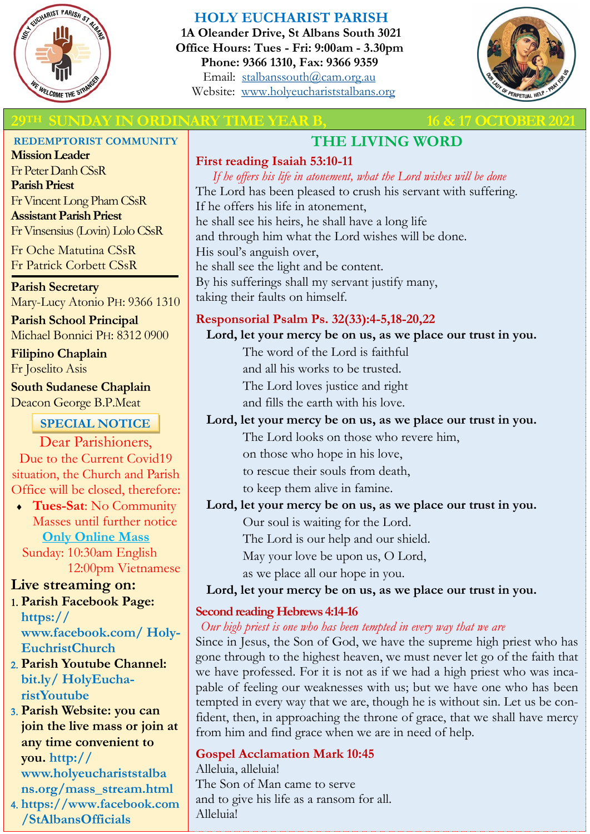

## **HOLY EUCHARIST PARISH**

**1A Oleander Drive, St Albans South 3021 Office Hours: Tues - Fri: 9:00am - 3.30pm Phone: 9366 1310, Fax: 9366 9359** Email: [stalbanssouth@cam.org.au](mailto:stalbanssouth@cam.org.au) Website:[www.holyeuchariststalbans.org](http://www.holyeuchariststalbans.org)



## **2002 THE SUNDARY TIME YEAR B, 2022 16 & 17 OCTOBER 202**

#### **REDEMPTORIST COMMUNITY**

**Mission Leader** Fr Peter Danh CSsR **Parish Priest** Fr Vincent Long Pham CSsR **Assistant Parish Priest**  Fr Vinsensius (Lovin) Lolo CSsR

Fr Oche Matutina CSsR Fr Patrick Corbett CSsR

**Parish Secretary** Mary-Lucy Atonio PH: 9366 1310

**Parish School Principal** Michael Bonnici PH: 8312 0900

**Filipino Chaplain** Fr Joselito Asis

**South Sudanese Chaplain** Deacon George B.P.Meat

## **SPECIAL NOTICE**

Dear Parishioners, Due to the Current Covid19 situation, the Church and Parish Office will be closed, therefore:

 **Tues-Sat**: No Community Masses until further notice **Only Online Mass**  Sunday: 10:30am English

12:00pm Vietnamese

## **Live streaming on:**

- **Parish Facebook Page: https:// www.facebook.com/ Holy-EuchristChurch**
- **Parish Youtube Channel: bit.ly/ HolyEucharistYoutube**
- **Parish Website: you can join the live mass or join at any time convenient to you. http:// www.holyeuchariststalba ns.org/mass\_stream.html**
- **https://www.facebook.com /StAlbansOfficials**

# **THE LIVING WORD**

**First reading Isaiah 53:10-11** *If he offers his life in atonement, what the Lord wishes will be done* The Lord has been pleased to crush his servant with suffering. If he offers his life in atonement, he shall see his heirs, he shall have a long life and through him what the Lord wishes will be done. His soul's anguish over, he shall see the light and be content. By his sufferings shall my servant justify many, taking their faults on himself.

## **Responsorial Psalm Ps. 32(33):4-5,18-20,22**

#### **Lord, let your mercy be on us, as we place our trust in you.**

The word of the Lord is faithful

and all his works to be trusted.

The Lord loves justice and right

and fills the earth with his love.

## **Lord, let your mercy be on us, as we place our trust in you.**

The Lord looks on those who revere him,

on those who hope in his love,

to rescue their souls from death,

to keep them alive in famine.

## **Lord, let your mercy be on us, as we place our trust in you.**

Our soul is waiting for the Lord.

The Lord is our help and our shield.

May your love be upon us, O Lord,

as we place all our hope in you.

## **Lord, let your mercy be on us, as we place our trust in you.**

## **Second reading Hebrews 4:14-16**

## *Our high priest is one who has been tempted in every way that we are*

Since in Jesus, the Son of God, we have the supreme high priest who has gone through to the highest heaven, we must never let go of the faith that we have professed. For it is not as if we had a high priest who was incapable of feeling our weaknesses with us; but we have one who has been tempted in every way that we are, though he is without sin. Let us be confident, then, in approaching the throne of grace, that we shall have mercy from him and find grace when we are in need of help.

## **Gospel Acclamation Mark 10:45**

Alleluia, alleluia! The Son of Man came to serve and to give his life as a ransom for all. Alleluia!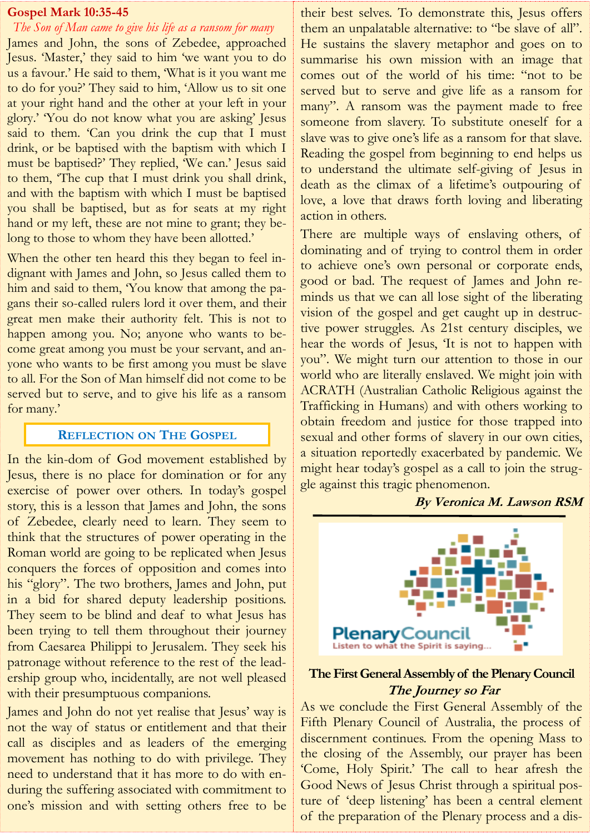#### **Gospel Mark 10:35-45**

*The Son of Man came to give his life as a ransom for many* James and John, the sons of Zebedee, approached Jesus. 'Master,' they said to him 'we want you to do us a favour.' He said to them, 'What is it you want me to do for you?' They said to him, 'Allow us to sit one at your right hand and the other at your left in your glory.' 'You do not know what you are asking' Jesus said to them. 'Can you drink the cup that I must drink, or be baptised with the baptism with which I must be baptised?' They replied, 'We can.' Jesus said to them, 'The cup that I must drink you shall drink, and with the baptism with which I must be baptised you shall be baptised, but as for seats at my right hand or my left, these are not mine to grant; they belong to those to whom they have been allotted.'

When the other ten heard this they began to feel indignant with James and John, so Jesus called them to him and said to them, You know that among the pagans their so-called rulers lord it over them, and their great men make their authority felt. This is not to happen among you. No; anyone who wants to become great among you must be your servant, and anyone who wants to be first among you must be slave to all. For the Son of Man himself did not come to be served but to serve, and to give his life as a ransom for many.'

#### **REFLECTION ON THE GOSPEL**

In the kin-dom of God movement established by Jesus, there is no place for domination or for any exercise of power over others. In today's gospel story, this is a lesson that James and John, the sons of Zebedee, clearly need to learn. They seem to think that the structures of power operating in the Roman world are going to be replicated when Jesus conquers the forces of opposition and comes into his "glory". The two brothers, James and John, put in a bid for shared deputy leadership positions. They seem to be blind and deaf to what Jesus has been trying to tell them throughout their journey from Caesarea Philippi to Jerusalem. They seek his patronage without reference to the rest of the leadership group who, incidentally, are not well pleased with their presumptuous companions.

James and John do not yet realise that Jesus' way is not the way of status or entitlement and that their call as disciples and as leaders of the emerging movement has nothing to do with privilege. They need to understand that it has more to do with enduring the suffering associated with commitment to one's mission and with setting others free to be their best selves. To demonstrate this, Jesus offers them an unpalatable alternative: to "be slave of all". He sustains the slavery metaphor and goes on to summarise his own mission with an image that comes out of the world of his time: "not to be served but to serve and give life as a ransom for many". A ransom was the payment made to free someone from slavery. To substitute oneself for a slave was to give one's life as a ransom for that slave. Reading the gospel from beginning to end helps us to understand the ultimate self-giving of Jesus in death as the climax of a lifetime's outpouring of love, a love that draws forth loving and liberating action in others.

There are multiple ways of enslaving others, of dominating and of trying to control them in order to achieve one's own personal or corporate ends, good or bad. The request of James and John reminds us that we can all lose sight of the liberating vision of the gospel and get caught up in destructive power struggles. As 21st century disciples, we hear the words of Jesus, 'It is not to happen with you". We might turn our attention to those in our world who are literally enslaved. We might join with ACRATH (Australian Catholic Religious against the Trafficking in Humans) and with others working to obtain freedom and justice for those trapped into sexual and other forms of slavery in our own cities, a situation reportedly exacerbated by pandemic. We might hear today's gospel as a call to join the struggle against this tragic phenomenon.

#### **By Veronica M. Lawson RSM**



## **The First General Assembly of the Plenary Council The Journey so Far**

As we conclude the First General Assembly of the Fifth Plenary Council of Australia, the process of discernment continues. From the opening Mass to the closing of the Assembly, our prayer has been 'Come, Holy Spirit.' The call to hear afresh the Good News of Jesus Christ through a spiritual posture of 'deep listening' has been a central element of the preparation of the Plenary process and a dis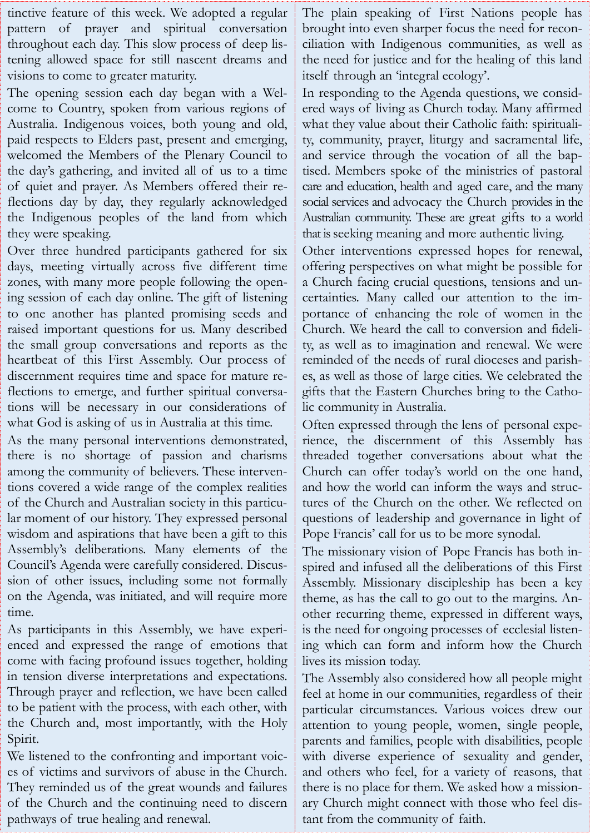tinctive feature of this week. We adopted a regular pattern of prayer and spiritual conversation throughout each day. This slow process of deep listening allowed space for still nascent dreams and visions to come to greater maturity.

The opening session each day began with a Welcome to Country, spoken from various regions of Australia. Indigenous voices, both young and old, paid respects to Elders past, present and emerging, welcomed the Members of the Plenary Council to the day's gathering, and invited all of us to a time of quiet and prayer. As Members offered their reflections day by day, they regularly acknowledged the Indigenous peoples of the land from which they were speaking.

Over three hundred participants gathered for six days, meeting virtually across five different time zones, with many more people following the opening session of each day online. The gift of listening to one another has planted promising seeds and raised important questions for us. Many described the small group conversations and reports as the heartbeat of this First Assembly. Our process of discernment requires time and space for mature reflections to emerge, and further spiritual conversations will be necessary in our considerations of what God is asking of us in Australia at this time.

As the many personal interventions demonstrated, there is no shortage of passion and charisms among the community of believers. These interventions covered a wide range of the complex realities of the Church and Australian society in this particular moment of our history. They expressed personal wisdom and aspirations that have been a gift to this Assembly's deliberations. Many elements of the Council's Agenda were carefully considered. Discussion of other issues, including some not formally on the Agenda, was initiated, and will require more time.

As participants in this Assembly, we have experienced and expressed the range of emotions that come with facing profound issues together, holding in tension diverse interpretations and expectations. Through prayer and reflection, we have been called to be patient with the process, with each other, with the Church and, most importantly, with the Holy Spirit.

We listened to the confronting and important voices of victims and survivors of abuse in the Church. They reminded us of the great wounds and failures of the Church and the continuing need to discern pathways of true healing and renewal.

The plain speaking of First Nations people has brought into even sharper focus the need for reconciliation with Indigenous communities, as well as the need for justice and for the healing of this land itself through an 'integral ecology'.

In responding to the Agenda questions, we considered ways of living as Church today. Many affirmed what they value about their Catholic faith: spirituality, community, prayer, liturgy and sacramental life, and service through the vocation of all the baptised. Members spoke of the ministries of pastoral care and education, health and aged care, and the many social services and advocacy the Church provides in the Australian community. These are great gifts to a world that is seeking meaning and more authentic living.

Other interventions expressed hopes for renewal, offering perspectives on what might be possible for a Church facing crucial questions, tensions and uncertainties. Many called our attention to the importance of enhancing the role of women in the Church. We heard the call to conversion and fidelity, as well as to imagination and renewal. We were reminded of the needs of rural dioceses and parishes, as well as those of large cities. We celebrated the gifts that the Eastern Churches bring to the Catholic community in Australia.

Often expressed through the lens of personal experience, the discernment of this Assembly has threaded together conversations about what the Church can offer today's world on the one hand, and how the world can inform the ways and structures of the Church on the other. We reflected on questions of leadership and governance in light of Pope Francis' call for us to be more synodal.

The missionary vision of Pope Francis has both inspired and infused all the deliberations of this First Assembly. Missionary discipleship has been a key theme, as has the call to go out to the margins. Another recurring theme, expressed in different ways, is the need for ongoing processes of ecclesial listening which can form and inform how the Church lives its mission today.

The Assembly also considered how all people might feel at home in our communities, regardless of their particular circumstances. Various voices drew our attention to young people, women, single people, parents and families, people with disabilities, people with diverse experience of sexuality and gender, and others who feel, for a variety of reasons, that there is no place for them. We asked how a missionary Church might connect with those who feel distant from the community of faith.